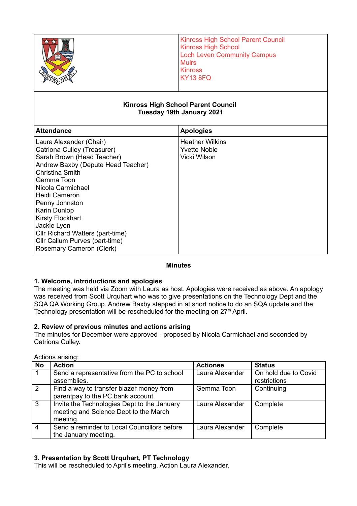|                                                                                                                                                                                                                                                                                                                                                                   | <b>Kinross High School Parent Council</b><br><b>Kinross High School</b><br><b>Loch Leven Community Campus</b><br><b>Muirs</b><br><b>Kinross</b><br><b>KY13 8FQ</b> |  |  |  |
|-------------------------------------------------------------------------------------------------------------------------------------------------------------------------------------------------------------------------------------------------------------------------------------------------------------------------------------------------------------------|--------------------------------------------------------------------------------------------------------------------------------------------------------------------|--|--|--|
| <b>Kinross High School Parent Council</b><br>Tuesday 19th January 2021                                                                                                                                                                                                                                                                                            |                                                                                                                                                                    |  |  |  |
| <b>Attendance</b>                                                                                                                                                                                                                                                                                                                                                 | <b>Apologies</b>                                                                                                                                                   |  |  |  |
| Laura Alexander (Chair)<br>Catriona Culley (Treasurer)<br>Sarah Brown (Head Teacher)<br>Andrew Baxby (Depute Head Teacher)<br><b>Christina Smith</b><br>Gemma Toon<br>Nicola Carmichael<br><b>Heidi Cameron</b><br>Penny Johnston<br>Karin Dunlop<br><b>Kirsty Flockhart</b><br>Jackie Lyon<br>Cllr Richard Watters (part-time)<br>Cllr Callum Purves (part-time) | <b>Heather Wilkins</b><br><b>Yvette Noble</b><br>Vicki Wilson                                                                                                      |  |  |  |

## **Minutes**

## **1. Welcome, introductions and apologies**

Rosemary Cameron (Clerk)

The meeting was held via Zoom with Laura as host. Apologies were received as above. An apology was received from Scott Urquhart who was to give presentations on the Technology Dept and the SQA QA Working Group. Andrew Baxby stepped in at short notice to do an SQA update and the Technology presentation will be rescheduled for the meeting on  $27<sup>th</sup>$  April.

# **2. Review of previous minutes and actions arising**

The minutes for December were approved - proposed by Nicola Carmichael and seconded by Catriona Culley.

| <b>No</b>      | <b>Action</b>                               | <b>Actionee</b> | <b>Status</b>        |
|----------------|---------------------------------------------|-----------------|----------------------|
|                | Send a representative from the PC to school | Laura Alexander | On hold due to Covid |
|                | assemblies.                                 |                 | restrictions         |
| 2              | Find a way to transfer blazer money from    | Gemma Toon      | Continuing           |
|                | parentpay to the PC bank account.           |                 |                      |
| 3              | Invite the Technologies Dept to the January | Laura Alexander | Complete             |
|                | meeting and Science Dept to the March       |                 |                      |
|                | meeting.                                    |                 |                      |
| $\overline{4}$ | Send a reminder to Local Councillors before | Laura Alexander | Complete             |
|                | the January meeting.                        |                 |                      |

Actions arising:

# **3. Presentation by Scott Urquhart, PT Technology**

This will be rescheduled to April's meeting. Action Laura Alexander.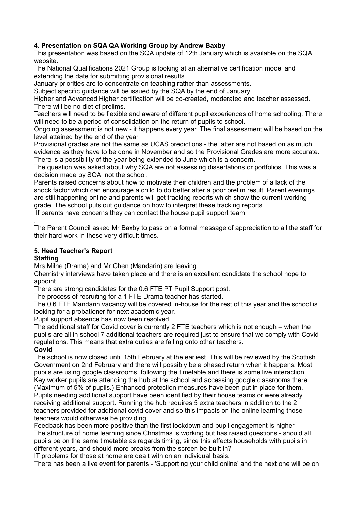# **4. Presentation on SQA QA Working Group by Andrew Baxby**

This presentation was based on the SQA update of 12th January which is available on the SQA website.

The National Qualifications 2021 Group is looking at an alternative certification model and extending the date for submitting provisional results.

January priorities are to concentrate on teaching rather than assessments.

Subject specific guidance will be issued by the SQA by the end of January.

Higher and Advanced Higher certification will be co-created, moderated and teacher assessed. There will be no diet of prelims.

Teachers will need to be flexible and aware of different pupil experiences of home schooling. There will need to be a period of consolidation on the return of pupils to school.

Ongoing assessment is not new - it happens every year. The final assessment will be based on the level attained by the end of the year.

Provisional grades are not the same as UCAS predictions - the latter are not based on as much evidence as they have to be done in November and so the Provisional Grades are more accurate. There is a possibility of the year being extended to June which is a concern.

The question was asked about why SQA are not assessing dissertations or portfolios. This was a decision made by SQA, not the school.

Parents raised concerns about how to motivate their children and the problem of a lack of the shock factor which can encourage a child to do better after a poor prelim result. Parent evenings are still happening online and parents will get tracking reports which show the current working grade. The school puts out guidance on how to interpret these tracking reports.

If parents have concerns they can contact the house pupil support team.

. The Parent Council asked Mr Baxby to pass on a formal message of appreciation to all the staff for their hard work in these very difficult times.

# **5. Head Teacher's Report**

## **Staffing**

Mrs Milne (Drama) and Mr Chen (Mandarin) are leaving.

Chemistry interviews have taken place and there is an excellent candidate the school hope to appoint.

There are strong candidates for the 0.6 FTE PT Pupil Support post.

The process of recruiting for a 1 FTE Drama teacher has started.

The 0.6 FTE Mandarin vacancy will be covered in-house for the rest of this year and the school is looking for a probationer for next academic year.

Pupil support absence has now been resolved.

The additional staff for Covid cover is currently 2 FTE teachers which is not enough – when the pupils are all in school 7 additional teachers are required just to ensure that we comply with Covid regulations. This means that extra duties are falling onto other teachers. **Covid**

The school is now closed until 15th February at the earliest. This will be reviewed by the Scottish Government on 2nd February and there will possibly be a phased return when it happens. Most pupils are using google classrooms, following the timetable and there is some live interaction. Key worker pupils are attending the hub at the school and accessing google classrooms there. (Maximum of 5% of pupils.) Enhanced protection measures have been put in place for them. Pupils needing additional support have been identified by their house teams or were already receiving additional support. Running the hub requires 5 extra teachers in addition to the 2 teachers provided for additional covid cover and so this impacts on the online learning those teachers would otherwise be providing.

Feedback has been more positive than the first lockdown and pupil engagement is higher. The structure of home learning since Christmas is working but has raised questions - should all pupils be on the same timetable as regards timing, since this affects households with pupils in different years, and should more breaks from the screen be built in?

IT problems for those at home are dealt with on an individual basis.

There has been a live event for parents - 'Supporting your child online' and the next one will be on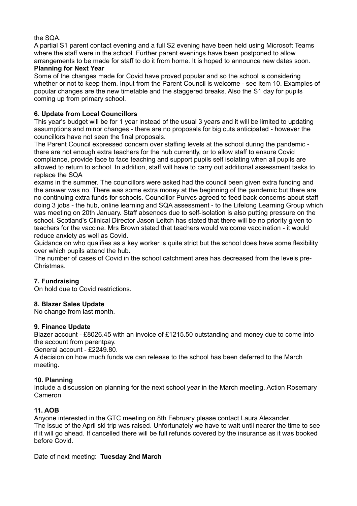## the SQA.

A partial S1 parent contact evening and a full S2 evening have been held using Microsoft Teams where the staff were in the school. Further parent evenings have been postponed to allow arrangements to be made for staff to do it from home. It is hoped to announce new dates soon.

## **Planning for Next Year**

Some of the changes made for Covid have proved popular and so the school is considering whether or not to keep them. Input from the Parent Council is welcome - see item 10. Examples of popular changes are the new timetable and the staggered breaks. Also the S1 day for pupils coming up from primary school.

## **6. Update from Local Councillors**

This year's budget will be for 1 year instead of the usual 3 years and it will be limited to updating assumptions and minor changes - there are no proposals for big cuts anticipated - however the councillors have not seen the final proposals.

The Parent Council expressed concern over staffing levels at the school during the pandemic there are not enough extra teachers for the hub currently, or to allow staff to ensure Covid compliance, provide face to face teaching and support pupils self isolating when all pupils are allowed to return to school. In addition, staff will have to carry out additional assessment tasks to replace the SQA

exams in the summer. The councillors were asked had the council been given extra funding and the answer was no. There was some extra money at the beginning of the pandemic but there are no continuing extra funds for schools. Councillor Purves agreed to feed back concerns about staff doing 3 jobs - the hub, online learning and SQA assessment - to the Lifelong Learning Group which was meeting on 20th January. Staff absences due to self-isolation is also putting pressure on the school. Scotland's Clinical Director Jason Leitch has stated that there will be no priority given to teachers for the vaccine. Mrs Brown stated that teachers would welcome vaccination - it would reduce anxiety as well as Covid.

Guidance on who qualifies as a key worker is quite strict but the school does have some flexibility over which pupils attend the hub.

The number of cases of Covid in the school catchment area has decreased from the levels pre-Christmas.

# **7. Fundraising**

On hold due to Covid restrictions.

## **8. Blazer Sales Update**

No change from last month.

## **9. Finance Update**

Blazer account - £8026.45 with an invoice of £1215.50 outstanding and money due to come into the account from parentpay.

General account - £2249.80.

A decision on how much funds we can release to the school has been deferred to the March meeting.

# **10. Planning**

Include a discussion on planning for the next school year in the March meeting. Action Rosemary Cameron

# **11. AOB**

Anyone interested in the GTC meeting on 8th February please contact Laura Alexander. The issue of the April ski trip was raised. Unfortunately we have to wait until nearer the time to see if it will go ahead. If cancelled there will be full refunds covered by the insurance as it was booked before Covid.

Date of next meeting: **Tuesday 2nd March**